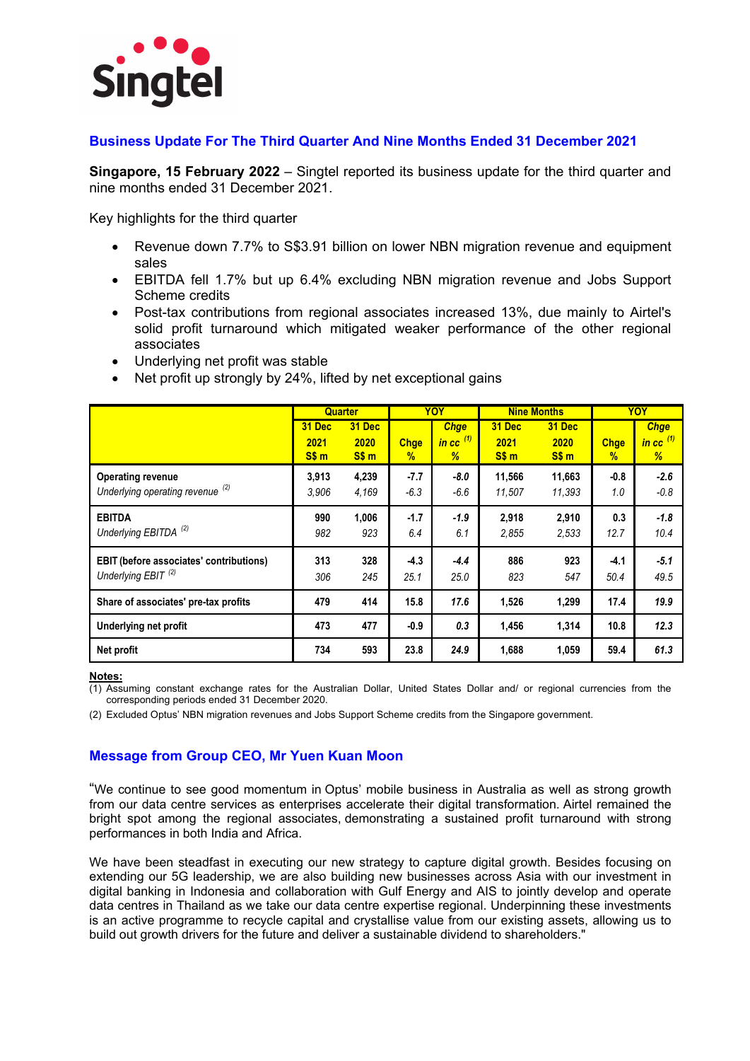

#### **Business Update For The Third Quarter And Nine Months Ended 31 December 2021**

**Singapore, 15 February 2022** – Singtel reported its business update for the third quarter and nine months ended 31 December 2021.

Key highlights for the third quarter

- Revenue down 7.7% to S\$3.91 billion on lower NBN migration revenue and equipment sales
- EBITDA fell 1.7% but up 6.4% excluding NBN migration revenue and Jobs Support Scheme credits
- Post-tax contributions from regional associates increased 13%, due mainly to Airtel's solid profit turnaround which mitigated weaker performance of the other regional associates
- Underlying net profit was stable
- Net profit up strongly by 24%, lifted by net exceptional gains

|                                                                                  |                | <b>Quarter</b> |                  | YOY                        |                  | <b>Nine Months</b> |                | <b>YOY</b>                               |
|----------------------------------------------------------------------------------|----------------|----------------|------------------|----------------------------|------------------|--------------------|----------------|------------------------------------------|
|                                                                                  | 31 Dec<br>2021 | 31 Dec<br>2020 | <b>Chge</b>      | <b>Chge</b><br>in cc $(1)$ | 31 Dec<br>2021   | 31 Dec<br>2020     | <b>Chge</b>    | <b>Chge</b><br>$\frac{1}{2}$ in cc $(1)$ |
|                                                                                  | S\$ m          | S\$ m          | $\%$             | %                          | SSm              | S\$ m              | $\%$           | %                                        |
| <b>Operating revenue</b><br>Underlying operating revenue (2)                     | 3,913<br>3,906 | 4,239<br>4,169 | $-7.7$<br>$-6.3$ | -8.0<br>$-6.6$             | 11,566<br>11,507 | 11,663<br>11,393   | $-0.8$<br>1.0  | $-2.6$<br>$-0.8$                         |
| <b>EBITDA</b><br>Underlying EBITDA <sup>(2)</sup>                                | 990<br>982     | 1,006<br>923   | $-1.7$<br>6.4    | $-1.9$<br>6.1              | 2,918<br>2,855   | 2,910<br>2.533     | 0.3<br>12.7    | $-1.8$<br>10.4                           |
| <b>EBIT</b> (before associates' contributions)<br>Underlying EBIT <sup>(2)</sup> | 313<br>306     | 328<br>245     | $-4.3$<br>25.1   | $-4.4$<br>25.0             | 886<br>823       | 923<br>547         | $-4.1$<br>50.4 | $-5.1$<br>49.5                           |
| Share of associates' pre-tax profits                                             | 479            | 414            | 15.8             | 17.6                       | 1,526            | 1,299              | 17.4           | 19.9                                     |
| <b>Underlying net profit</b>                                                     | 473            | 477            | $-0.9$           | 0.3                        | 1,456            | 1,314              | 10.8           | 12.3                                     |
| Net profit                                                                       | 734            | 593            | 23.8             | 24.9                       | 1,688            | 1,059              | 59.4           | 61.3                                     |

**Notes:** 

(1) Assuming constant exchange rates for the Australian Dollar, United States Dollar and/ or regional currencies from the corresponding periods ended 31 December 2020.

(2) Excluded Optus' NBN migration revenues and Jobs Support Scheme credits from the Singapore government.

#### **Message from Group CEO, Mr Yuen Kuan Moon**

"We continue to see good momentum in Optus' mobile business in Australia as well as strong growth from our data centre services as enterprises accelerate their digital transformation. Airtel remained the bright spot among the regional associates, demonstrating a sustained profit turnaround with strong performances in both India and Africa.

We have been steadfast in executing our new strategy to capture digital growth. Besides focusing on extending our 5G leadership, we are also building new businesses across Asia with our investment in digital banking in Indonesia and collaboration with Gulf Energy and AIS to jointly develop and operate data centres in Thailand as we take our data centre expertise regional. Underpinning these investments is an active programme to recycle capital and crystallise value from our existing assets, allowing us to build out growth drivers for the future and deliver a sustainable dividend to shareholders."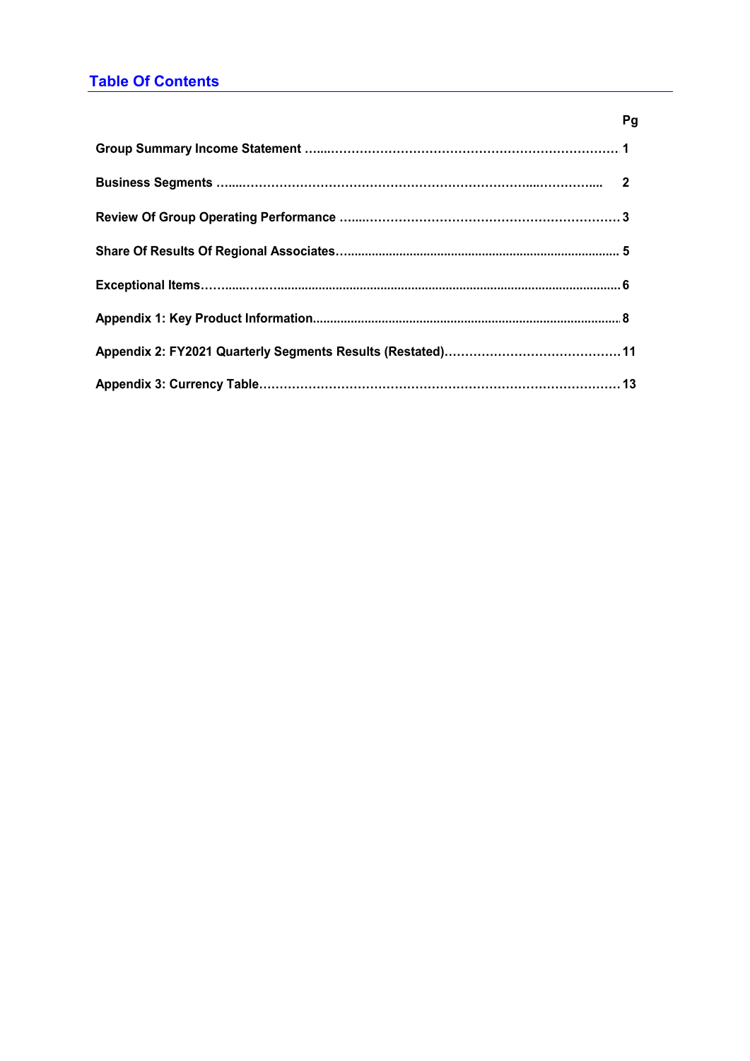# **Table Of Contents**

| гy |  |
|----|--|
|    |  |
|    |  |
|    |  |
|    |  |
|    |  |
|    |  |
|    |  |
|    |  |

### **Pg**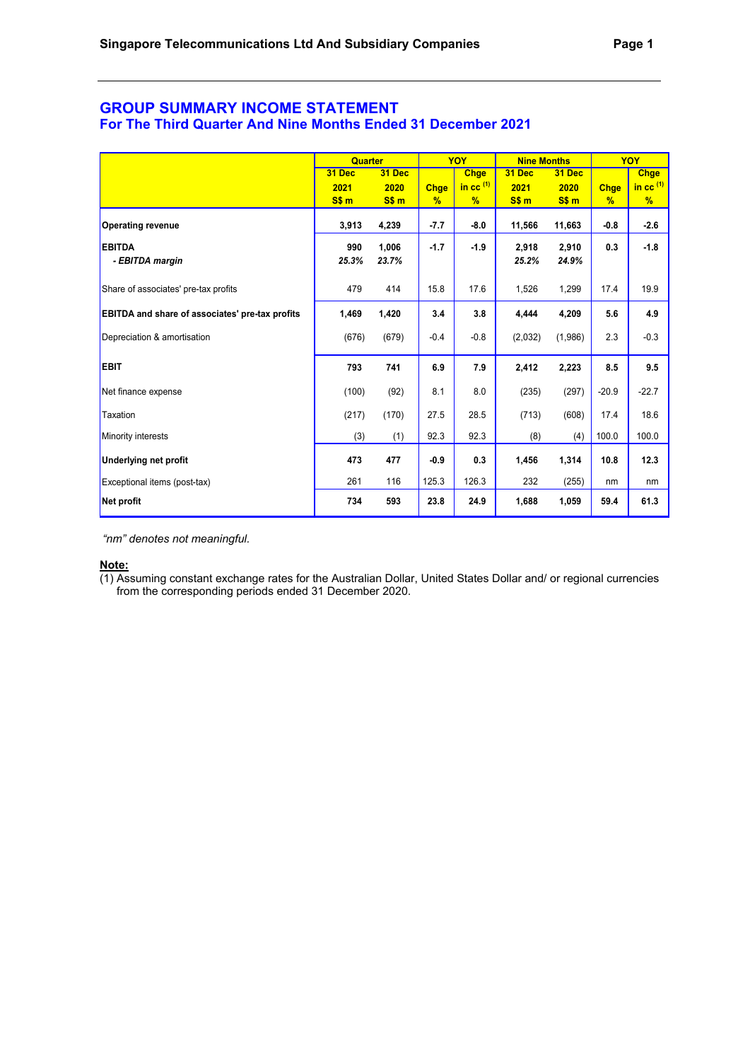#### **GROUP SUMMARY INCOME STATEMENT For The Third Quarter And Nine Months Ended 31 December 2021**

|                                                        | <b>Quarter</b> |                |                              | YOY                 | <b>Nine Months</b> |                |                              | <b>YOY</b>          |
|--------------------------------------------------------|----------------|----------------|------------------------------|---------------------|--------------------|----------------|------------------------------|---------------------|
|                                                        | 31 Dec         | 31 Dec         |                              | <b>Chge</b>         | 31 Dec             | 31 Dec         |                              | <b>Chge</b>         |
|                                                        | 2021<br>S\$ m  | 2020<br>S\$ m  | <b>Chge</b><br>$\frac{9}{6}$ | in cc $^{(1)}$<br>% | 2021<br>S\$ m      | 2020<br>S\$ m  | <b>Chge</b><br>$\frac{9}{6}$ | in cc $^{(1)}$<br>% |
| <b>Operating revenue</b>                               | 3,913          | 4,239          | $-7.7$                       | $-8.0$              | 11,566             | 11,663         | $-0.8$                       | $-2.6$              |
| <b>EBITDA</b><br>- EBITDA margin                       | 990<br>25.3%   | 1,006<br>23.7% | $-1.7$                       | $-1.9$              | 2,918<br>25.2%     | 2,910<br>24.9% | 0.3                          | $-1.8$              |
| Share of associates' pre-tax profits                   | 479            | 414            | 15.8                         | 17.6                | 1,526              | 1,299          | 17.4                         | 19.9                |
| <b>EBITDA and share of associates' pre-tax profits</b> | 1,469          | 1,420          | 3.4                          | 3.8                 | 4,444              | 4,209          | 5.6                          | 4.9                 |
| Depreciation & amortisation                            | (676)          | (679)          | $-0.4$                       | $-0.8$              | (2,032)            | (1,986)        | 2.3                          | $-0.3$              |
| <b>EBIT</b>                                            | 793            | 741            | 6.9                          | 7.9                 | 2,412              | 2,223          | 8.5                          | 9.5                 |
| Net finance expense                                    | (100)          | (92)           | 8.1                          | 8.0                 | (235)              | (297)          | $-20.9$                      | $-22.7$             |
| Taxation                                               | (217)          | (170)          | 27.5                         | 28.5                | (713)              | (608)          | 17.4                         | 18.6                |
| Minority interests                                     | (3)            | (1)            | 92.3                         | 92.3                | (8)                | (4)            | 100.0                        | 100.0               |
| <b>Underlying net profit</b>                           | 473            | 477            | $-0.9$                       | 0.3                 | 1,456              | 1,314          | 10.8                         | 12.3                |
| Exceptional items (post-tax)                           | 261            | 116            | 125.3                        | 126.3               | 232                | (255)          | nm                           | nm                  |
| Net profit                                             | 734            | 593            | 23.8                         | 24.9                | 1,688              | 1,059          | 59.4                         | 61.3                |

*"nm" denotes not meaningful.*

#### **Note:**

(1) Assuming constant exchange rates for the Australian Dollar, United States Dollar and/ or regional currencies from the corresponding periods ended 31 December 2020.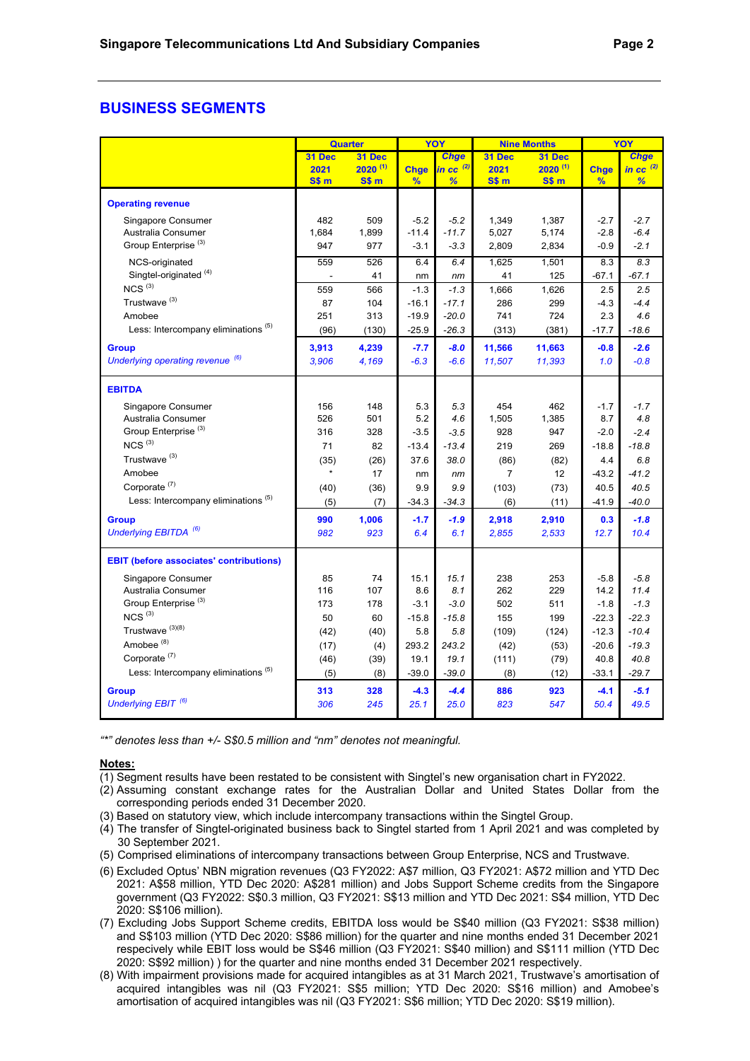### **BUSINESS SEGMENTS**

|                                                |                          | Quarter      |               | YOY            |                  | <b>Nine Months</b> | YOY           |                |
|------------------------------------------------|--------------------------|--------------|---------------|----------------|------------------|--------------------|---------------|----------------|
|                                                | 31 Dec                   | 31 Dec       |               | <b>Chge</b>    | 31 Dec           | 31 Dec             |               | <b>Chge</b>    |
|                                                | 2021                     | $2020^{(1)}$ | <b>Chge</b>   | in cc $^{(2)}$ | 2021             | $2020^{(1)}$       | <b>Chge</b>   | in cc $^{(2)}$ |
|                                                | S\$ m                    | SSm          | $\frac{9}{6}$ | %              | S\$ <sub>m</sub> | S\$ <sub>m</sub>   | $\frac{9}{6}$ | %              |
| <b>Operating revenue</b>                       |                          |              |               |                |                  |                    |               |                |
| Singapore Consumer                             | 482                      | 509          | $-5.2$        | $-5.2$         | 1,349            | 1.387              | $-2.7$        | $-2.7$         |
| Australia Consumer                             | 1,684                    | 1,899        | $-11.4$       | $-11.7$        | 5,027            | 5,174              | $-2.8$        | $-6.4$         |
| Group Enterprise <sup>(3)</sup>                | 947                      | 977          | $-3.1$        | $-3.3$         | 2,809            | 2,834              | $-0.9$        | $-2.1$         |
| NCS-originated                                 | 559                      | 526          | 6.4           | 6.4            | 1,625            | 1,501              | 8.3           | 8.3            |
| Singtel-originated <sup>(4)</sup>              | $\overline{\phantom{a}}$ | 41           | nm            | nm             | 41               | 125                | $-67.1$       | $-67.1$        |
| $NCS$ <sup>(3)</sup>                           | 559                      | 566          | $-1.3$        | $-1.3$         | 1,666            | 1,626              | 2.5           | 2.5            |
| Trustwave <sup>(3)</sup>                       | 87                       | 104          | $-16.1$       | $-17.1$        | 286              | 299                | $-4.3$        | $-4.4$         |
| Amobee                                         | 251                      | 313          | $-19.9$       | $-20.0$        | 741              | 724                | 2.3           | 4.6            |
| Less: Intercompany eliminations (5)            | (96)                     | (130)        | $-25.9$       | $-26.3$        | (313)            | (381)              | $-17.7$       | $-18.6$        |
| <b>Group</b>                                   | 3,913                    | 4,239        | $-7.7$        | $-8.0$         | 11,566           | 11,663             | $-0.8$        | $-2.6$         |
| Underlying operating revenue (6)               | 3,906                    | 4,169        | $-6.3$        | $-6.6$         | 11,507           | 11,393             | 1.0           | $-0.8$         |
| <b>EBITDA</b>                                  |                          |              |               |                |                  |                    |               |                |
| Singapore Consumer                             | 156                      | 148          | 5.3           | 5.3            | 454              | 462                | $-1.7$        | $-1.7$         |
| Australia Consumer                             | 526                      | 501          | 5.2           | 4.6            | 1,505            | 1,385              | 8.7           | 4.8            |
| Group Enterprise <sup>(3)</sup>                | 316                      | 328          | $-3.5$        | $-3.5$         | 928              | 947                | $-2.0$        | $-2.4$         |
| $NCS$ <sup>(3)</sup>                           | 71                       | 82           | $-13.4$       | $-13.4$        | 219              | 269                | $-18.8$       | $-18.8$        |
| Trustwave <sup>(3)</sup>                       | (35)                     | (26)         | 37.6          | 38.0           | (86)             | (82)               | 4.4           | 6.8            |
| Amobee                                         | $\star$                  | 17           | nm            | nm             | $\overline{7}$   | 12                 | $-43.2$       | $-41.2$        |
| Corporate <sup>(7)</sup>                       | (40)                     | (36)         | 9.9           | 9.9            | (103)            | (73)               | 40.5          | 40.5           |
| Less: Intercompany eliminations <sup>(5)</sup> | (5)                      | (7)          | $-34.3$       | $-34.3$        | (6)              | (11)               | $-41.9$       | $-40.0$        |
| <b>Group</b>                                   | 990                      | 1,006        | $-1.7$        | $-1.9$         | 2,918            | 2,910              | 0.3           | $-1.8$         |
| Underlying EBITDA <sup>(6)</sup>               | 982                      | 923          | 6.4           | 6.1            | 2,855            | 2,533              | 12.7          | 10.4           |
|                                                |                          |              |               |                |                  |                    |               |                |
| <b>EBIT (before associates' contributions)</b> |                          |              |               |                |                  |                    |               |                |
| Singapore Consumer                             | 85                       | 74           | 15.1          | 15.1           | 238              | 253                | $-5.8$        | $-5.8$         |
| Australia Consumer                             | 116                      | 107          | 8.6           | 8.1            | 262              | 229                | 14.2          | 11.4           |
| Group Enterprise <sup>(3)</sup>                | 173                      | 178          | $-3.1$        | $-3.0$         | 502              | 511                | $-1.8$        | $-1.3$         |
| $NCS$ <sup>(3)</sup>                           | 50                       | 60           | $-15.8$       | $-15.8$        | 155              | 199                | $-22.3$       | $-22.3$        |
| Trustwave <sup>(3)(8)</sup>                    | (42)                     | (40)         | 5.8           | 5.8            | (109)            | (124)              | $-12.3$       | $-10.4$        |
| Amobee <sup>(8)</sup>                          | (17)                     | (4)          | 293.2         | 243.2          | (42)             | (53)               | $-20.6$       | $-19.3$        |
| Corporate <sup>(7)</sup>                       | (46)                     | (39)         | 19.1          | 19.1           | (111)            | (79)               | 40.8          | 40.8           |
| Less: Intercompany eliminations <sup>(5)</sup> | (5)                      | (8)          | $-39.0$       | $-39.0$        | (8)              | (12)               | $-33.1$       | $-29.7$        |
| <b>Group</b>                                   | 313                      | 328          | $-4.3$        | $-4.4$         | 886              | 923                | $-4.1$        | $-5.1$         |
| Underlying EBIT <sup>(6)</sup>                 | 306                      | 245          | 25.1          | 25.0           | 823              | 547                | 50.4          | 49.5           |

*"\*" denotes less than +/- S\$0.5 million and "nm" denotes not meaningful.* 

- (1) Segment results have been restated to be consistent with Singtel's new organisation chart in FY2022.
- (2) Assuming constant exchange rates for the Australian Dollar and United States Dollar from the corresponding periods ended 31 December 2020.
- (3) Based on statutory view, which include intercompany transactions within the Singtel Group.
- (4) The transfer of Singtel-originated business back to Singtel started from 1 April 2021 and was completed by 30 September 2021.
- (5) Comprised eliminations of intercompany transactions between Group Enterprise, NCS and Trustwave.
- (6) Excluded Optus' NBN migration revenues (Q3 FY2022: A\$7 million, Q3 FY2021: A\$72 million and YTD Dec 2021: A\$58 million, YTD Dec 2020: A\$281 million) and Jobs Support Scheme credits from the Singapore government (Q3 FY2022: S\$0.3 million, Q3 FY2021: S\$13 million and YTD Dec 2021: S\$4 million, YTD Dec 2020: S\$106 million).
- (7) Excluding Jobs Support Scheme credits, EBITDA loss would be S\$40 million (Q3 FY2021: S\$38 million) and S\$103 million (YTD Dec 2020: S\$86 million) for the quarter and nine months ended 31 December 2021 respecively while EBIT loss would be S\$46 million (Q3 FY2021: S\$40 million) and S\$111 million (YTD Dec 2020: S\$92 million) ) for the quarter and nine months ended 31 December 2021 respectively.
- (8) With impairment provisions made for acquired intangibles as at 31 March 2021, Trustwave's amortisation of acquired intangibles was nil (Q3 FY2021: S\$5 million; YTD Dec 2020: S\$16 million) and Amobee's amortisation of acquired intangibles was nil (Q3 FY2021: S\$6 million; YTD Dec 2020: S\$19 million).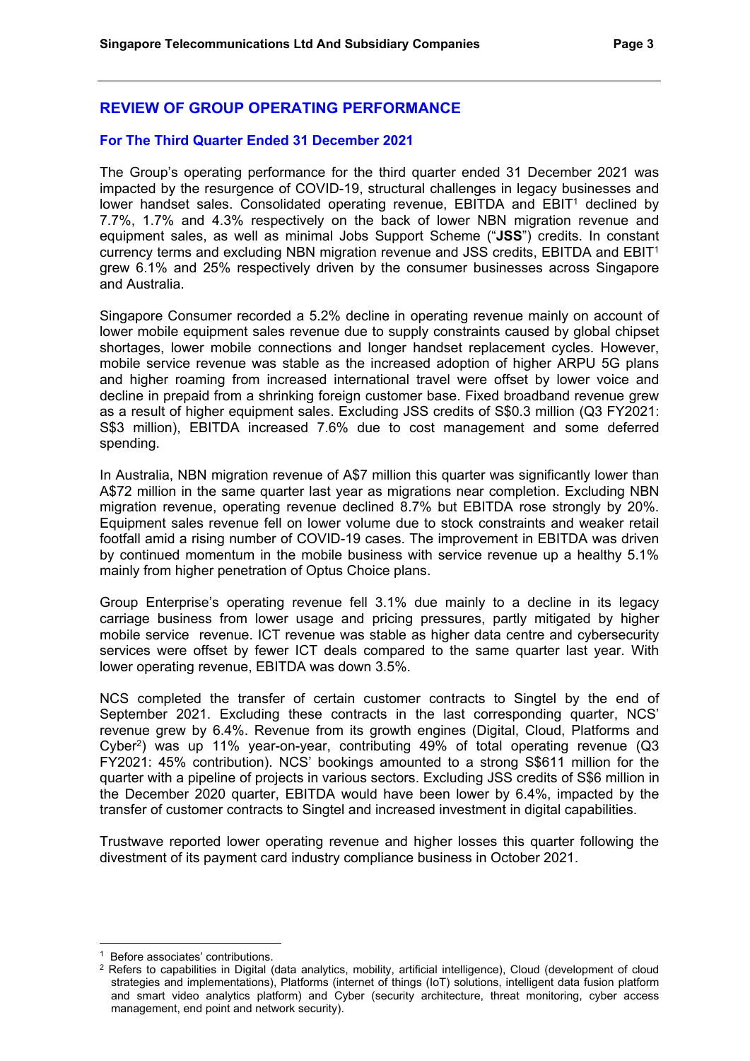# **REVIEW OF GROUP OPERATING PERFORMANCE**

#### **For The Third Quarter Ended 31 December 2021**

The Group's operating performance for the third quarter ended 31 December 2021 was impacted by the resurgence of COVID-19, structural challenges in legacy businesses and lower handset sales. Consolidated operating revenue. EBITDA and EBIT<sup>1</sup> declined by 7.7%, 1.7% and 4.3% respectively on the back of lower NBN migration revenue and equipment sales, as well as minimal Jobs Support Scheme ("**JSS**") credits. In constant currency terms and excluding NBN migration revenue and JSS credits, EBITDA and EBIT1 grew 6.1% and 25% respectively driven by the consumer businesses across Singapore and Australia.

Singapore Consumer recorded a 5.2% decline in operating revenue mainly on account of lower mobile equipment sales revenue due to supply constraints caused by global chipset shortages, lower mobile connections and longer handset replacement cycles. However, mobile service revenue was stable as the increased adoption of higher ARPU 5G plans and higher roaming from increased international travel were offset by lower voice and decline in prepaid from a shrinking foreign customer base. Fixed broadband revenue grew as a result of higher equipment sales. Excluding JSS credits of S\$0.3 million (Q3 FY2021: S\$3 million), EBITDA increased 7.6% due to cost management and some deferred spending.

In Australia, NBN migration revenue of A\$7 million this quarter was significantly lower than A\$72 million in the same quarter last year as migrations near completion. Excluding NBN migration revenue, operating revenue declined 8.7% but EBITDA rose strongly by 20%. Equipment sales revenue fell on lower volume due to stock constraints and weaker retail footfall amid a rising number of COVID-19 cases. The improvement in EBITDA was driven by continued momentum in the mobile business with service revenue up a healthy 5.1% mainly from higher penetration of Optus Choice plans.

Group Enterprise's operating revenue fell 3.1% due mainly to a decline in its legacy carriage business from lower usage and pricing pressures, partly mitigated by higher mobile service revenue. ICT revenue was stable as higher data centre and cybersecurity services were offset by fewer ICT deals compared to the same quarter last year. With lower operating revenue, EBITDA was down 3.5%.

NCS completed the transfer of certain customer contracts to Singtel by the end of September 2021. Excluding these contracts in the last corresponding quarter, NCS' revenue grew by 6.4%. Revenue from its growth engines (Digital, Cloud, Platforms and Cyber2) was up 11% year-on-year, contributing 49% of total operating revenue (Q3 FY2021: 45% contribution). NCS' bookings amounted to a strong S\$611 million for the quarter with a pipeline of projects in various sectors. Excluding JSS credits of S\$6 million in the December 2020 quarter, EBITDA would have been lower by 6.4%, impacted by the transfer of customer contracts to Singtel and increased investment in digital capabilities.

Trustwave reported lower operating revenue and higher losses this quarter following the divestment of its payment card industry compliance business in October 2021.

<sup>&</sup>lt;sup>1</sup> Before associates' contributions.<br><sup>2</sup> Refers to canabilities in Digital (

<sup>2</sup> Refers to capabilities in Digital (data analytics, mobility, artificial intelligence), Cloud (development of cloud strategies and implementations), Platforms (internet of things (IoT) solutions, intelligent data fusion platform and smart video analytics platform) and Cyber (security architecture, threat monitoring, cyber access management, end point and network security).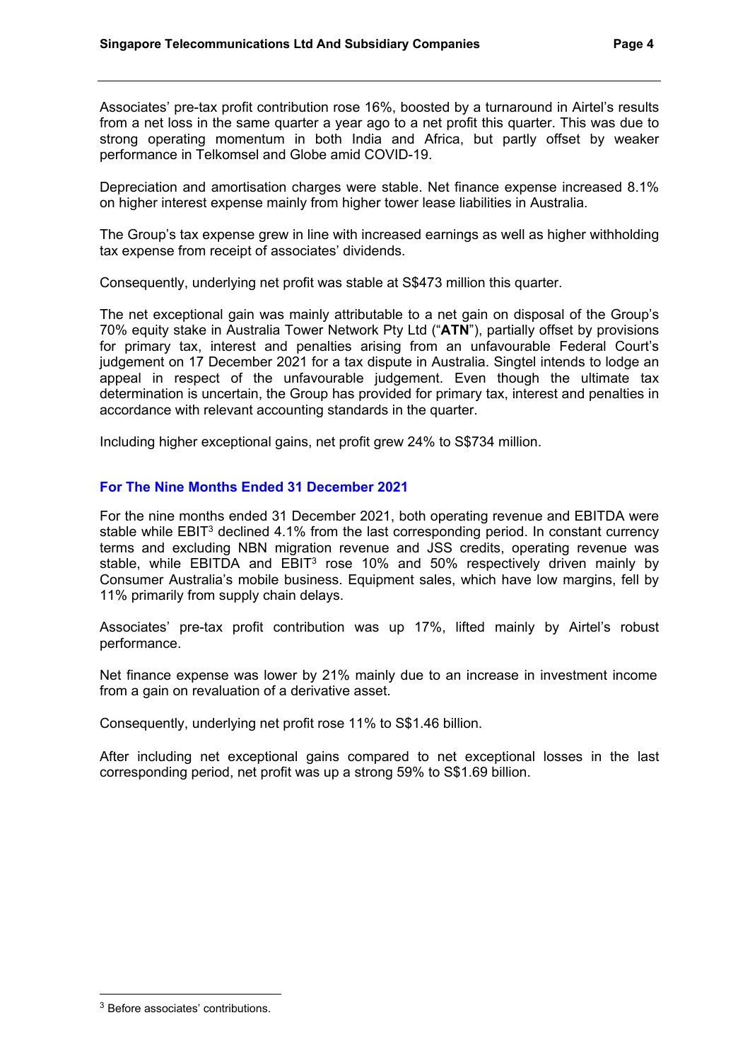Associates' pre-tax profit contribution rose 16%, boosted by a turnaround in Airtel's results from a net loss in the same quarter a year ago to a net profit this quarter. This was due to strong operating momentum in both India and Africa, but partly offset by weaker performance in Telkomsel and Globe amid COVID-19.

Depreciation and amortisation charges were stable. Net finance expense increased 8.1% on higher interest expense mainly from higher tower lease liabilities in Australia.

The Group's tax expense grew in line with increased earnings as well as higher withholding tax expense from receipt of associates' dividends.

Consequently, underlying net profit was stable at S\$473 million this quarter.

The net exceptional gain was mainly attributable to a net gain on disposal of the Group's 70% equity stake in Australia Tower Network Pty Ltd ("**ATN**"), partially offset by provisions for primary tax, interest and penalties arising from an unfavourable Federal Court's judgement on 17 December 2021 for a tax dispute in Australia. Singtel intends to lodge an appeal in respect of the unfavourable judgement. Even though the ultimate tax determination is uncertain, the Group has provided for primary tax, interest and penalties in accordance with relevant accounting standards in the quarter.

Including higher exceptional gains, net profit grew 24% to S\$734 million.

#### **For The Nine Months Ended 31 December 2021**

For the nine months ended 31 December 2021, both operating revenue and EBITDA were stable while EBIT<sup>3</sup> declined 4.1% from the last corresponding period. In constant currency terms and excluding NBN migration revenue and JSS credits, operating revenue was stable, while EBITDA and EBIT<sup>3</sup> rose 10% and 50% respectively driven mainly by Consumer Australia's mobile business. Equipment sales, which have low margins, fell by 11% primarily from supply chain delays.

Associates' pre-tax profit contribution was up 17%, lifted mainly by Airtel's robust performance.

Net finance expense was lower by 21% mainly due to an increase in investment income from a gain on revaluation of a derivative asset.

Consequently, underlying net profit rose 11% to S\$1.46 billion.

After including net exceptional gains compared to net exceptional losses in the last corresponding period, net profit was up a strong 59% to S\$1.69 billion.

<sup>3</sup> Before associates' contributions.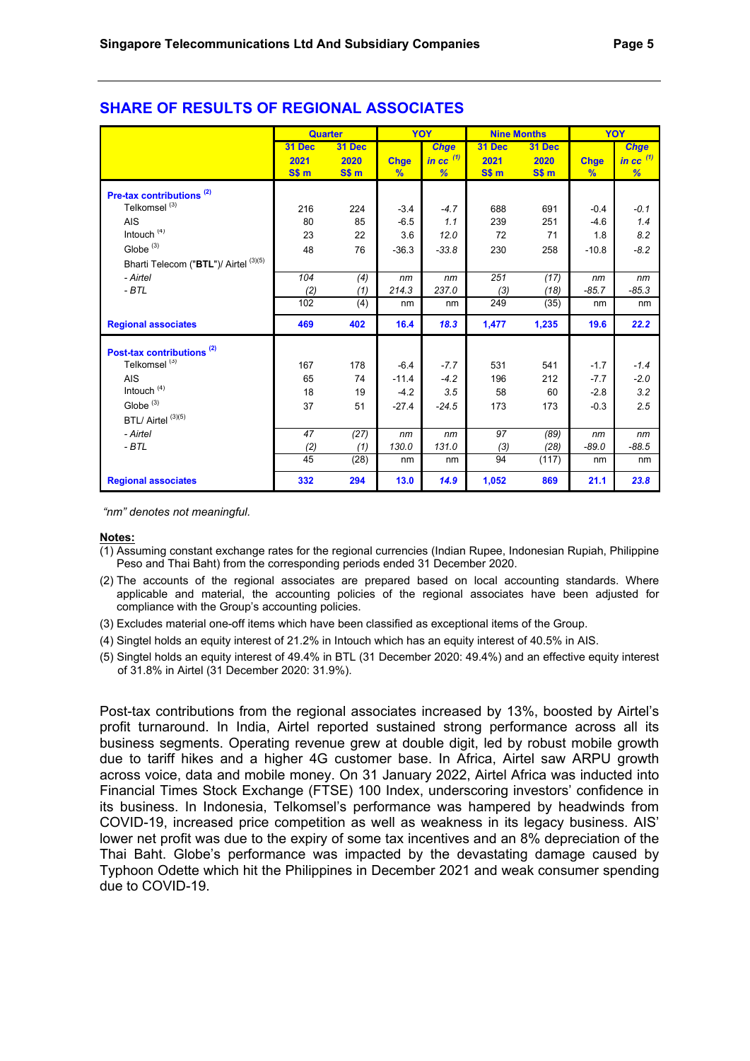|                                       | <b>Quarter</b> |        |               | YOY         | <b>Nine Months</b> |                  |               | YOY                    |
|---------------------------------------|----------------|--------|---------------|-------------|--------------------|------------------|---------------|------------------------|
|                                       | 31 Dec         | 31 Dec |               | <b>Chge</b> | 31 Dec             | 31 Dec           |               | <b>Chge</b>            |
|                                       | 2021           | 2020   | <b>Chge</b>   | in cc $(1)$ | 2021               | 2020             | <b>Chge</b>   | in $cc$ <sup>(1)</sup> |
|                                       | S\$ m          | SSm    | $\frac{9}{6}$ | %           | SSm                | S\$ <sub>m</sub> | $\frac{9}{6}$ | %                      |
| Pre-tax contributions <sup>(2)</sup>  |                |        |               |             |                    |                  |               |                        |
| Telkomsel <sup>(3)</sup>              | 216            | 224    | $-3.4$        | $-4.7$      | 688                | 691              | $-0.4$        | $-0.1$                 |
| <b>AIS</b>                            | 80             | 85     | $-6.5$        | 1.1         | 239                | 251              | $-4.6$        | 1.4                    |
| Intouch $(4)$                         | 23             | 22     | 3.6           | 12.0        | 72                 | 71               | 1.8           | 8.2                    |
| Globe $(3)$                           | 48             | 76     | $-36.3$       | $-33.8$     | 230                | 258              | $-10.8$       | $-8.2$                 |
| Bharti Telecom ("BTL")/ Airtel (3)(5) |                |        |               |             |                    |                  |               |                        |
| - Airtel                              | 104            | (4)    | nm            | nm          | 251                | (17)             | nm            | nm                     |
| $-BTL$                                | (2)            | (1)    | 214.3         | 237.0       | (3)                | (18)             | $-85.7$       | $-85.3$                |
|                                       | 102            | (4)    | nm            | nm          | 249                | (35)             | nm            | nm                     |
| <b>Regional associates</b>            | 469            | 402    | 16.4          | 18.3        | 1,477              | 1,235            | 19.6          | 22.2                   |
| Post-tax contributions <sup>(2)</sup> |                |        |               |             |                    |                  |               |                        |
| Telkomsel <sup>(3)</sup>              | 167            | 178    | $-6.4$        | $-7.7$      | 531                | 541              | $-1.7$        | $-1.4$                 |
| <b>AIS</b>                            | 65             | 74     | $-11.4$       | $-4.2$      | 196                | 212              | $-7.7$        | $-2.0$                 |
| Intouch <sup>(4)</sup>                | 18             | 19     | $-4.2$        | 3.5         | 58                 | 60               | $-2.8$        | 3.2                    |
| Globe $(3)$                           | 37             | 51     | $-27.4$       | $-24.5$     | 173                | 173              | $-0.3$        | 2.5                    |
| BTL/ Airtel (3)(5)                    |                |        |               |             |                    |                  |               |                        |
| - Airtel                              | 47             | (27)   | nm            | nm          | 97                 | (89)             | nm            | nm                     |
| $-BTL$                                | (2)            | (1)    | 130.0         | 131.0       | (3)                | (28)             | $-89.0$       | $-88.5$                |
|                                       | 45             | (28)   | nm            | nm          | 94                 | (117)            | nm            | nm                     |
| <b>Regional associates</b>            | 332            | 294    | 13.0          | 14.9        | 1,052              | 869              | 21.1          | 23.8                   |

# **SHARE OF RESULTS OF REGIONAL ASSOCIATES**

 *"nm" denotes not meaningful.* 

#### **Notes:**

- (1) Assuming constant exchange rates for the regional currencies (Indian Rupee, Indonesian Rupiah, Philippine Peso and Thai Baht) from the corresponding periods ended 31 December 2020.
- (2) The accounts of the regional associates are prepared based on local accounting standards. Where applicable and material, the accounting policies of the regional associates have been adjusted for compliance with the Group's accounting policies.
- (3) Excludes material one-off items which have been classified as exceptional items of the Group.
- (4) Singtel holds an equity interest of 21.2% in Intouch which has an equity interest of 40.5% in AIS.
- (5) Singtel holds an equity interest of 49.4% in BTL (31 December 2020: 49.4%) and an effective equity interest of 31.8% in Airtel (31 December 2020: 31.9%).

Post-tax contributions from the regional associates increased by 13%, boosted by Airtel's profit turnaround. In India, Airtel reported sustained strong performance across all its business segments. Operating revenue grew at double digit, led by robust mobile growth due to tariff hikes and a higher 4G customer base. In Africa, Airtel saw ARPU growth across voice, data and mobile money. On 31 January 2022, Airtel Africa was inducted into Financial Times Stock Exchange (FTSE) 100 Index, underscoring investors' confidence in its business. In Indonesia, Telkomsel's performance was hampered by headwinds from COVID-19, increased price competition as well as weakness in its legacy business. AIS' lower net profit was due to the expiry of some tax incentives and an 8% depreciation of the Thai Baht. Globe's performance was impacted by the devastating damage caused by Typhoon Odette which hit the Philippines in December 2021 and weak consumer spending due to COVID-19.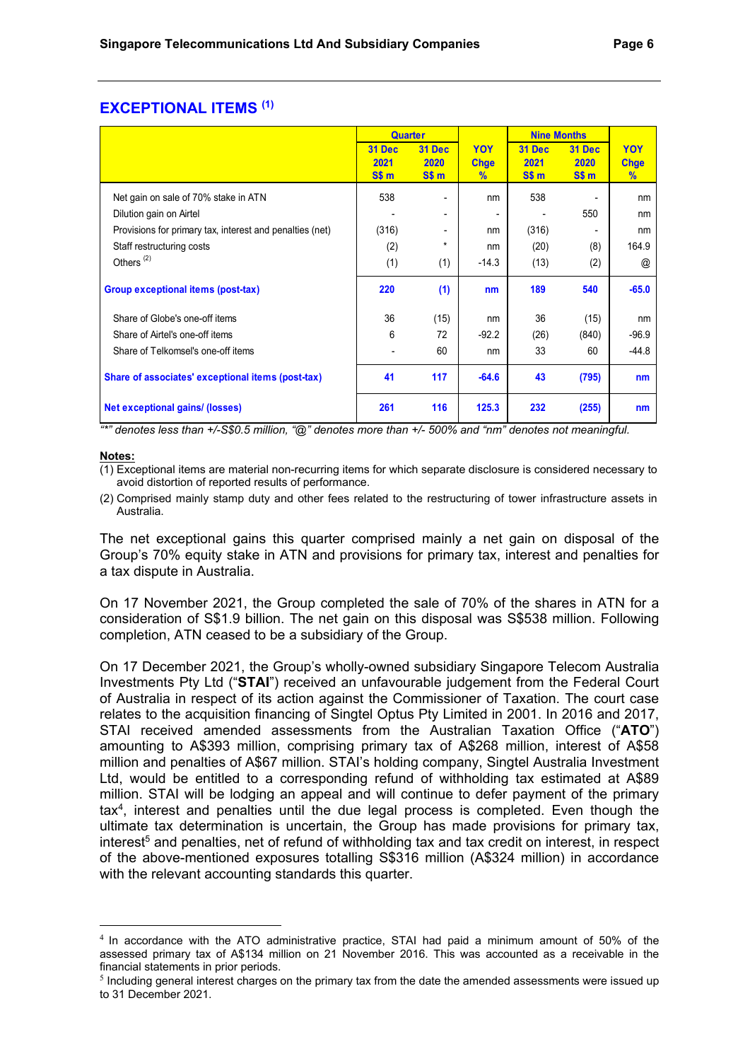### **EXCEPTIONAL ITEMS (1)**

|                                                          | <b>Quarter</b> |               |             | <b>Nine Months</b> |                  |                      |
|----------------------------------------------------------|----------------|---------------|-------------|--------------------|------------------|----------------------|
|                                                          | <b>31 Dec</b>  | <b>31 Dec</b> | <b>YOY</b>  | 31 Dec             | <b>31 Dec</b>    | <b>YOY</b>           |
|                                                          | 2021           | 2020          | <b>Chge</b> | 2021               | 2020             | <b>Chge</b>          |
|                                                          | SSm            | SSm           | $\%$        | SSm                | S\$ <sub>m</sub> | $\frac{9}{6}$        |
| Net gain on sale of 70% stake in ATN                     | 538            | ۰             | nm          | 538                | ۰                | nm                   |
| Dilution gain on Airtel                                  |                | ۰             | ٠           |                    | 550              | nm                   |
| Provisions for primary tax, interest and penalties (net) | (316)          | ۰             | nm          | (316)              | ٠                | nm                   |
| Staff restructuring costs                                | (2)            | $\star$       | nm          | (20)               | (8)              | 164.9                |
| Others <sup>(2)</sup>                                    | (1)            | (1)           | $-14.3$     | (13)               | (2)              | $^{\textregistered}$ |
| Group exceptional items (post-tax)                       | 220            | (1)           | nm          | 189                | 540              | $-65.0$              |
| Share of Globe's one-off items                           | 36             | (15)          | nm          | 36                 | (15)             | nm                   |
| Share of Airtel's one-off items                          | 6              | 72            | $-92.2$     | (26)               | (840)            | $-96.9$              |
| Share of Telkomsel's one-off items                       |                | 60            | nm          | 33                 | 60               | $-44.8$              |
| Share of associates' exceptional items (post-tax)        | 41             | 117           | $-64.6$     | 43                 | (795)            | nm                   |
| <b>Net exceptional gains/ (losses)</b>                   | 261            | 116           | 125.3       | 232                | (255)            | nm                   |

*"\*" denotes less than +/-S\$0.5 million, "@" denotes more than +/- 500% and "nm" denotes not meaningful.* 

#### **Notes:**

- (1) Exceptional items are material non-recurring items for which separate disclosure is considered necessary to avoid distortion of reported results of performance.
- (2) Comprised mainly stamp duty and other fees related to the restructuring of tower infrastructure assets in Australia.

The net exceptional gains this quarter comprised mainly a net gain on disposal of the Group's 70% equity stake in ATN and provisions for primary tax, interest and penalties for a tax dispute in Australia.

On 17 November 2021, the Group completed the sale of 70% of the shares in ATN for a consideration of S\$1.9 billion. The net gain on this disposal was S\$538 million. Following completion, ATN ceased to be a subsidiary of the Group.

On 17 December 2021, the Group's wholly-owned subsidiary Singapore Telecom Australia Investments Pty Ltd ("**STAI**") received an unfavourable judgement from the Federal Court of Australia in respect of its action against the Commissioner of Taxation. The court case relates to the acquisition financing of Singtel Optus Pty Limited in 2001. In 2016 and 2017, STAI received amended assessments from the Australian Taxation Office ("**ATO**") amounting to A\$393 million, comprising primary tax of A\$268 million, interest of A\$58 million and penalties of A\$67 million. STAI's holding company, Singtel Australia Investment Ltd, would be entitled to a corresponding refund of withholding tax estimated at A\$89 million. STAI will be lodging an appeal and will continue to defer payment of the primary tax4, interest and penalties until the due legal process is completed. Even though the ultimate tax determination is uncertain, the Group has made provisions for primary tax, interest<sup>5</sup> and penalties, net of refund of withholding tax and tax credit on interest, in respect of the above-mentioned exposures totalling S\$316 million (A\$324 million) in accordance with the relevant accounting standards this quarter.

<sup>&</sup>lt;sup>4</sup> In accordance with the ATO administrative practice, STAI had paid a minimum amount of 50% of the assessed primary tax of A\$134 million on 21 November 2016. This was accounted as a receivable in the financial statements in prior periods.

 $<sup>5</sup>$  Including general interest charges on the primary tax from the date the amended assessments were issued up</sup> to 31 December 2021.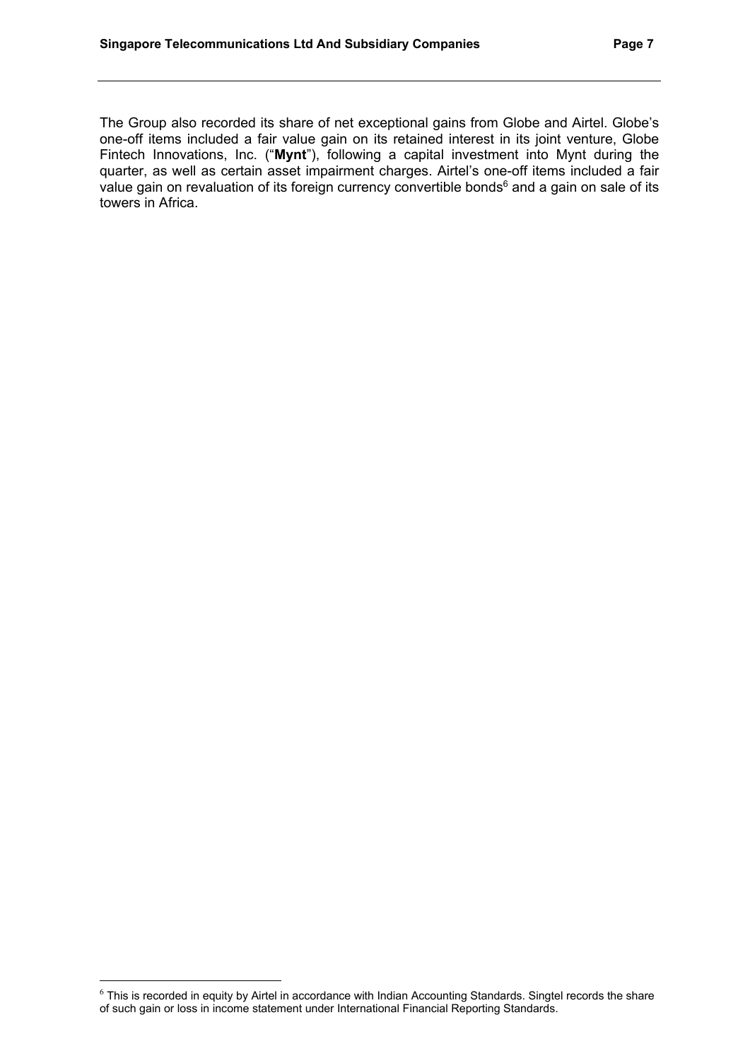The Group also recorded its share of net exceptional gains from Globe and Airtel. Globe's one-off items included a fair value gain on its retained interest in its joint venture, Globe Fintech Innovations, Inc. ("**Mynt**"), following a capital investment into Mynt during the quarter, as well as certain asset impairment charges. Airtel's one-off items included a fair value gain on revaluation of its foreign currency convertible bonds<sup>6</sup> and a gain on sale of its towers in Africa.

<sup>6</sup> This is recorded in equity by Airtel in accordance with Indian Accounting Standards. Singtel records the share of such gain or loss in income statement under International Financial Reporting Standards.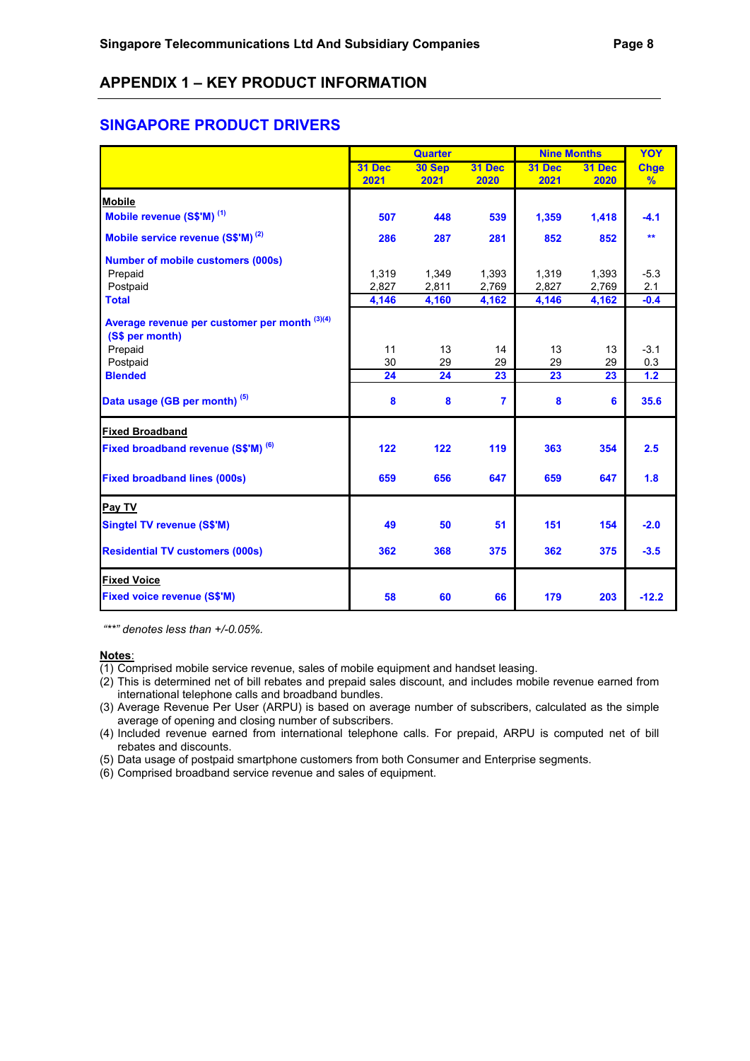### **APPENDIX 1 – KEY PRODUCT INFORMATION**

### **SINGAPORE PRODUCT DRIVERS**

|                                                                  | <b>Quarter</b> |        |                | <b>Nine Months</b> | YOY    |             |
|------------------------------------------------------------------|----------------|--------|----------------|--------------------|--------|-------------|
|                                                                  | 31 Dec         | 30 Sep | 31 Dec         | 31 Dec             | 31 Dec | <b>Chge</b> |
|                                                                  | 2021           | 2021   | 2020           | 2021               | 2020   | %           |
| <b>Mobile</b>                                                    |                |        |                |                    |        |             |
| Mobile revenue (S\$'M) <sup>(1)</sup>                            | 507            | 448    | 539            | 1,359              | 1,418  | $-4.1$      |
| Mobile service revenue (S\$'M) <sup>(2)</sup>                    | 286            | 287    | 281            | 852                | 852    | $**$        |
| <b>Number of mobile customers (000s)</b>                         |                |        |                |                    |        |             |
| Prepaid                                                          | 1,319          | 1,349  | 1,393          | 1,319              | 1,393  | $-5.3$      |
| Postpaid                                                         | 2,827          | 2,811  | 2,769          | 2,827              | 2,769  | 2.1         |
| <b>Total</b>                                                     | 4,146          | 4,160  | 4,162          | 4,146              | 4,162  | $-0.4$      |
| Average revenue per customer per month (3)(4)<br>(S\$ per month) |                |        |                |                    |        |             |
| Prepaid                                                          | 11             | 13     | 14             | 13                 | 13     | $-3.1$      |
| Postpaid                                                         | 30             | 29     | 29             | 29                 | 29     | 0.3         |
| <b>Blended</b>                                                   | 24             | 24     | 23             | 23                 | 23     | 1.2         |
| Data usage (GB per month) <sup>(5)</sup>                         | 8              | 8      | $\overline{7}$ | 8                  | 6      | 35.6        |
| <b>Fixed Broadband</b>                                           |                |        |                |                    |        |             |
| Fixed broadband revenue (S\$'M) (6)                              | 122            | 122    | 119            | 363                | 354    | 2.5         |
| <b>Fixed broadband lines (000s)</b>                              | 659            | 656    | 647            | 659                | 647    | 1.8         |
| Pay TV                                                           |                |        |                |                    |        |             |
| <b>Singtel TV revenue (S\$'M)</b>                                | 49             | 50     | 51             | 151                | 154    | $-2.0$      |
| <b>Residential TV customers (000s)</b>                           | 362            | 368    | 375            | 362                | 375    | $-3.5$      |
| <b>Fixed Voice</b>                                               |                |        |                |                    |        |             |
| <b>Fixed voice revenue (S\$'M)</b>                               | 58             | 60     | 66             | 179                | 203    | $-12.2$     |

 *"\*\*" denotes less than +/-0.05%.* 

- $\overline{(1)}$  Comprised mobile service revenue, sales of mobile equipment and handset leasing.
- (2) This is determined net of bill rebates and prepaid sales discount, and includes mobile revenue earned from international telephone calls and broadband bundles.
- (3) Average Revenue Per User (ARPU) is based on average number of subscribers, calculated as the simple average of opening and closing number of subscribers.
- (4) Included revenue earned from international telephone calls. For prepaid, ARPU is computed net of bill rebates and discounts.
- (5) Data usage of postpaid smartphone customers from both Consumer and Enterprise segments.
- (6) Comprised broadband service revenue and sales of equipment.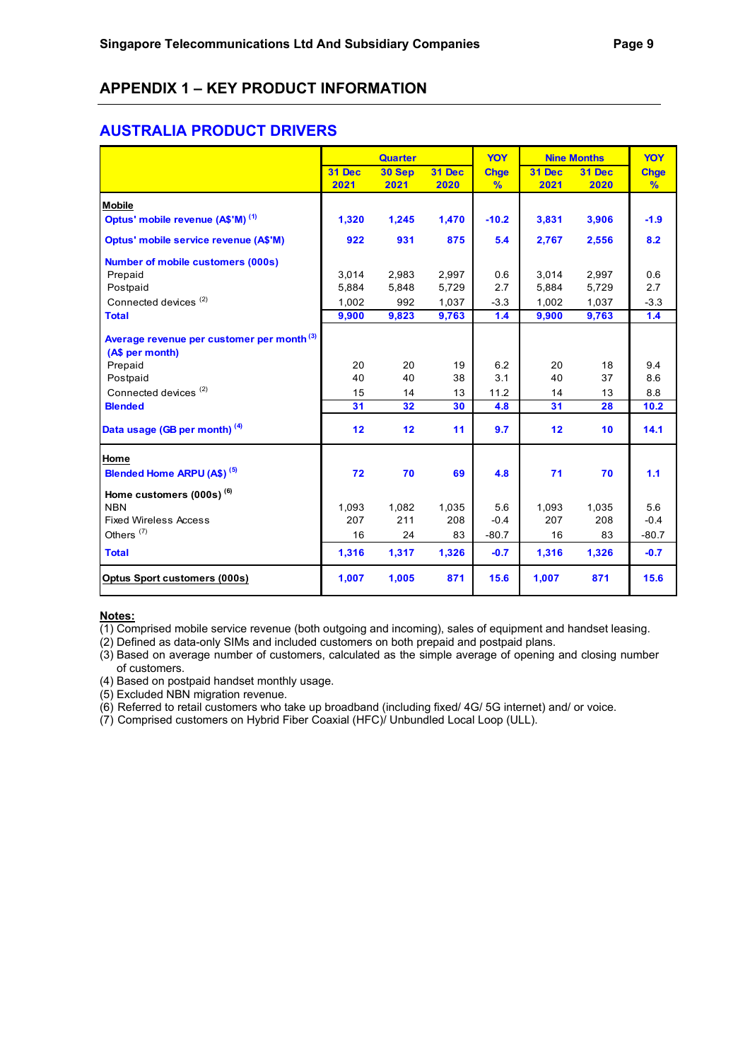# **APPENDIX 1 – KEY PRODUCT INFORMATION**

### **AUSTRALIA PRODUCT DRIVERS**

|                                                                          | YOY<br><b>Quarter</b><br><b>Nine Months</b> |        | YOY    |               |        |        |               |
|--------------------------------------------------------------------------|---------------------------------------------|--------|--------|---------------|--------|--------|---------------|
|                                                                          | 31 Dec                                      | 30 Sep | 31 Dec | <b>Chge</b>   | 31 Dec | 31 Dec | <b>Chge</b>   |
|                                                                          | 2021                                        | 2021   | 2020   | $\frac{9}{6}$ | 2021   | 2020   | $\frac{9}{6}$ |
| <b>Mobile</b>                                                            |                                             |        |        |               |        |        |               |
| Optus' mobile revenue (A\$'M) <sup>(1)</sup>                             | 1,320                                       | 1,245  | 1,470  | $-10.2$       | 3,831  | 3,906  | $-1.9$        |
| Optus' mobile service revenue (A\$'M)                                    | 922                                         | 931    | 875    | 5.4           | 2,767  | 2,556  | 8.2           |
| <b>Number of mobile customers (000s)</b>                                 |                                             |        |        |               |        |        |               |
| Prepaid                                                                  | 3,014                                       | 2,983  | 2,997  | 0.6           | 3,014  | 2,997  | 0.6           |
| Postpaid                                                                 | 5,884                                       | 5,848  | 5,729  | 2.7           | 5,884  | 5,729  | 2.7           |
| Connected devices <sup>(2)</sup>                                         | 1,002                                       | 992    | 1,037  | $-3.3$        | 1.002  | 1,037  | $-3.3$        |
| <b>Total</b>                                                             | 9,900                                       | 9,823  | 9,763  | 1.4           | 9,900  | 9,763  | 1.4           |
| Average revenue per customer per month <sup>(3)</sup><br>(A\$ per month) |                                             |        |        |               |        |        |               |
| Prepaid                                                                  | 20                                          | 20     | 19     | 6.2           | 20     | 18     | 9.4           |
| Postpaid                                                                 | 40                                          | 40     | 38     | 3.1           | 40     | 37     | 8.6           |
| Connected devices <sup>(2)</sup>                                         | 15                                          | 14     | 13     | 11.2          | 14     | 13     | 8.8           |
| <b>Blended</b>                                                           | 31                                          | 32     | 30     | 4.8           | 31     | 28     | 10.2          |
| Data usage (GB per month) (4)                                            | 12                                          | 12     | 11     | 9.7           | 12     | 10     | 14.1          |
| Home                                                                     |                                             |        |        |               |        |        |               |
| Blended Home ARPU (A\$) <sup>(5)</sup>                                   | 72                                          | 70     | 69     | 4.8           | 71     | 70     | 1.1           |
| Home customers (000s) <sup>(6)</sup>                                     |                                             |        |        |               |        |        |               |
| <b>NBN</b>                                                               | 1,093                                       | 1,082  | 1,035  | 5.6           | 1,093  | 1,035  | 5.6           |
| <b>Fixed Wireless Access</b>                                             | 207                                         | 211    | 208    | $-0.4$        | 207    | 208    | $-0.4$        |
| Others <sup>(7)</sup>                                                    | 16                                          | 24     | 83     | $-80.7$       | 16     | 83     | $-80.7$       |
| <b>Total</b>                                                             | 1,316                                       | 1,317  | 1,326  | $-0.7$        | 1,316  | 1,326  | $-0.7$        |
| <b>Optus Sport customers (000s)</b>                                      | 1,007                                       | 1,005  | 871    | 15.6          | 1,007  | 871    | 15.6          |

#### **Notes:**

 $\overline{(1)}$  Comprised mobile service revenue (both outgoing and incoming), sales of equipment and handset leasing.

(2) Defined as data-only SIMs and included customers on both prepaid and postpaid plans.

(3) Based on average number of customers, calculated as the simple average of opening and closing number

- of customers. (4) Based on postpaid handset monthly usage.
- (5) Excluded NBN migration revenue.

(6) Referred to retail customers who take up broadband (including fixed/ 4G/ 5G internet) and/ or voice.

(7) Comprised customers on Hybrid Fiber Coaxial (HFC)/ Unbundled Local Loop (ULL).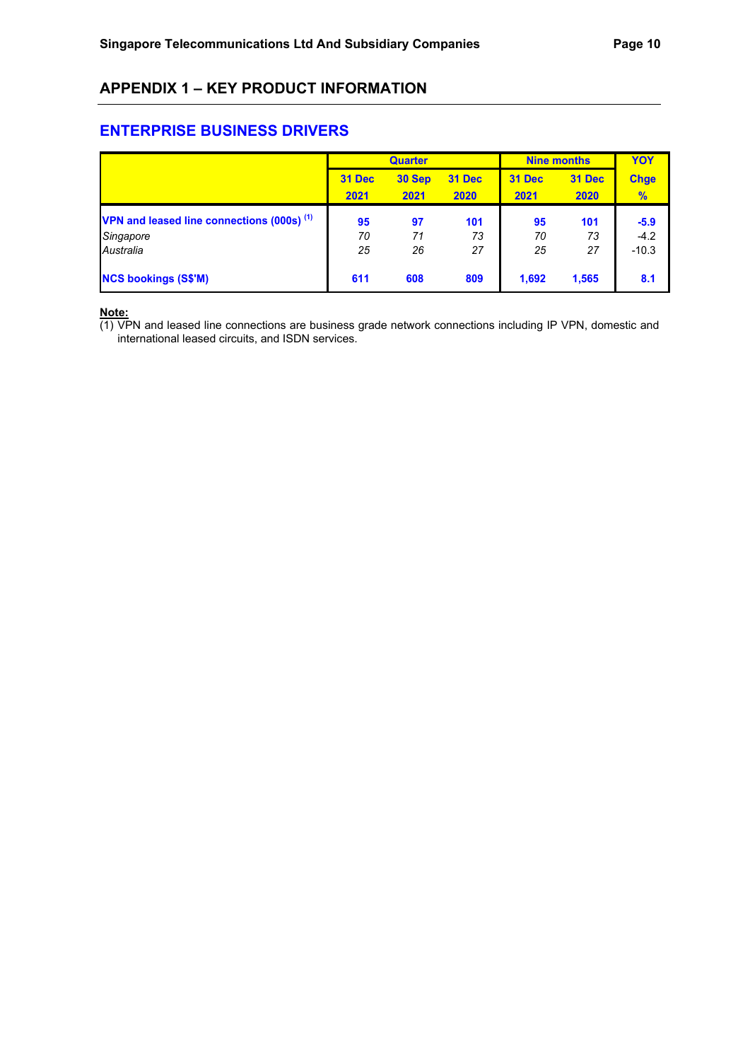# **APPENDIX 1 – KEY PRODUCT INFORMATION**

### **ENTERPRISE BUSINESS DRIVERS**

|                                                       |        | <b>Quarter</b> |               | <b>Nine months</b> | YOY    |             |
|-------------------------------------------------------|--------|----------------|---------------|--------------------|--------|-------------|
|                                                       | 31 Dec | 30 Sep         | <b>31 Dec</b> | <b>31 Dec</b>      | 31 Dec | <b>Chge</b> |
|                                                       | 2021   | 2021           | 2020          | 2021               | 2020   | %           |
| VPN and leased line connections (000s) <sup>(1)</sup> | 95     | 97             | 101           | 95                 | 101    | $-5.9$      |
| Singapore                                             | 70     | 71             | 73            | 70                 | 73     | $-4.2$      |
| Australia                                             | 25     | 26             | 27            | 25                 | 27     | $-10.3$     |
| <b>NCS bookings (S\$'M)</b>                           | 611    | 608            | 809           | 1,692              | 1,565  | 8.1         |

**Note:** 

(1) VPN and leased line connections are business grade network connections including IP VPN, domestic and international leased circuits, and ISDN services.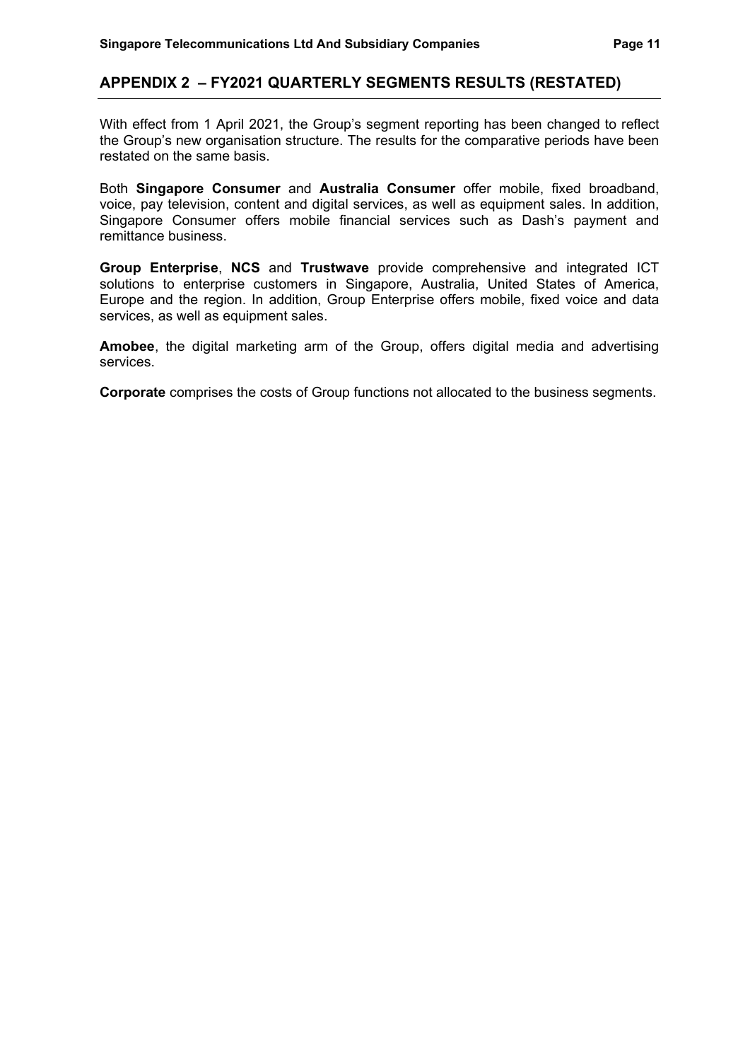#### **APPENDIX 2 – FY2021 QUARTERLY SEGMENTS RESULTS (RESTATED)**

With effect from 1 April 2021, the Group's segment reporting has been changed to reflect the Group's new organisation structure. The results for the comparative periods have been restated on the same basis.

Both **Singapore Consumer** and **Australia Consumer** offer mobile, fixed broadband, voice, pay television, content and digital services, as well as equipment sales. In addition, Singapore Consumer offers mobile financial services such as Dash's payment and remittance business.

**Group Enterprise**, **NCS** and **Trustwave** provide comprehensive and integrated ICT solutions to enterprise customers in Singapore, Australia, United States of America, Europe and the region. In addition, Group Enterprise offers mobile, fixed voice and data services, as well as equipment sales.

**Amobee**, the digital marketing arm of the Group, offers digital media and advertising services.

**Corporate** comprises the costs of Group functions not allocated to the business segments.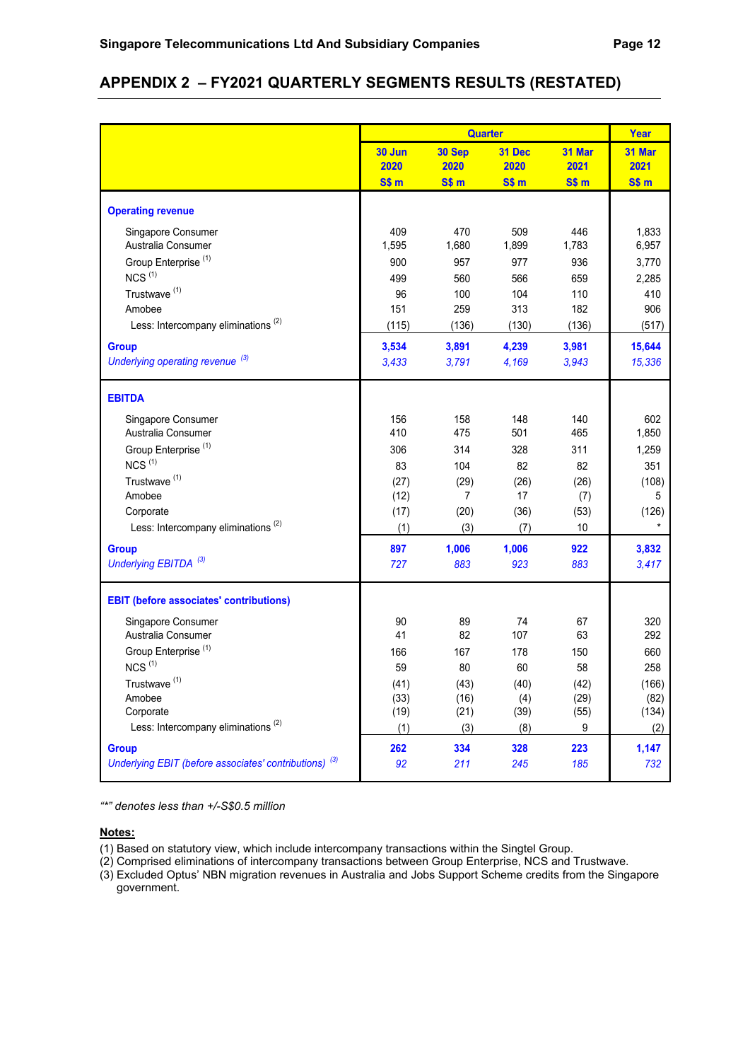# **APPENDIX 2 – FY2021 QUARTERLY SEGMENTS RESULTS (RESTATED)**

|                                                                   |                  | <b>Quarter</b> |            |            | Year       |
|-------------------------------------------------------------------|------------------|----------------|------------|------------|------------|
|                                                                   | 30 Jun           | 30 Sep         | 31 Dec     | 31 Mar     | 31 Mar     |
|                                                                   | 2020             | 2020           | 2020       | 2021       | 2021       |
|                                                                   | S\$ <sub>m</sub> | SSm            | SSm        | SSm        | SSm        |
| <b>Operating revenue</b>                                          |                  |                |            |            |            |
| Singapore Consumer                                                | 409              | 470            | 509        | 446        | 1,833      |
| Australia Consumer                                                | 1,595            | 1,680          | 1,899      | 1,783      | 6,957      |
| Group Enterprise <sup>(1)</sup><br>$NCS$ <sup>(1)</sup>           | 900              | 957            | 977        | 936        | 3,770      |
| Trustwave <sup>(1)</sup>                                          | 499              | 560            | 566        | 659        | 2,285      |
| Amobee                                                            | 96<br>151        | 100<br>259     | 104<br>313 | 110<br>182 | 410<br>906 |
| Less: Intercompany eliminations <sup>(2)</sup>                    | (115)            | (136)          | (130)      | (136)      | (517)      |
|                                                                   |                  |                |            |            |            |
| <b>Group</b>                                                      | 3,534            | 3,891          | 4,239      | 3,981      | 15,644     |
| Underlying operating revenue <sup>(3)</sup>                       | 3,433            | 3,791          | 4,169      | 3,943      | 15,336     |
| <b>EBITDA</b>                                                     |                  |                |            |            |            |
| Singapore Consumer                                                | 156              | 158            | 148        | 140        | 602        |
| Australia Consumer                                                | 410              | 475            | 501        | 465        | 1,850      |
| Group Enterprise <sup>(1)</sup>                                   | 306              | 314            | 328        | 311        | 1,259      |
| $NCS$ <sup>(1)</sup>                                              | 83               | 104            | 82         | 82         | 351        |
| Trustwave <sup>(1)</sup>                                          | (27)             | (29)           | (26)       | (26)       | (108)      |
| Amobee                                                            | (12)             | $\overline{7}$ | 17         | (7)        | 5          |
| Corporate                                                         | (17)             | (20)           | (36)       | (53)       | (126)      |
| Less: Intercompany eliminations <sup>(2)</sup>                    | (1)              | (3)            | (7)        | 10         | $\star$    |
| <b>Group</b>                                                      | 897              | 1,006          | 1,006      | 922        | 3,832      |
| Underlying EBITDA <sup>(3)</sup>                                  | 727              | 883            | 923        | 883        | 3,417      |
| <b>EBIT</b> (before associates' contributions)                    |                  |                |            |            |            |
| Singapore Consumer                                                | 90               | 89             | 74         | 67         | 320        |
| Australia Consumer                                                | 41               | 82             | 107        | 63         | 292        |
| Group Enterprise <sup>(1)</sup>                                   | 166              | 167            | 178        | 150        | 660        |
| $NCS$ <sup>(1)</sup>                                              | 59               | 80             | 60         | 58         | 258        |
| Trustwave <sup>(1)</sup>                                          | (41)             | (43)           | (40)       | (42)       | (166)      |
| Amobee                                                            | (33)             | (16)           | (4)        | (29)       | (82)       |
| Corporate                                                         | (19)             | (21)           | (39)       | (55)       | (134)      |
| Less: Intercompany eliminations <sup>(2)</sup>                    | (1)              | (3)            | (8)        | 9          | (2)        |
| <b>Group</b>                                                      | 262              | 334            | 328        | 223        | 1,147      |
| Underlying EBIT (before associates' contributions) <sup>(3)</sup> | 92               | 211            | 245        | 185        | 732        |

*"\*" denotes less than +/-S\$0.5 million*

- (1) Based on statutory view, which include intercompany transactions within the Singtel Group.
- (2) Comprised eliminations of intercompany transactions between Group Enterprise, NCS and Trustwave.
- (3) Excluded Optus' NBN migration revenues in Australia and Jobs Support Scheme credits from the Singapore government.